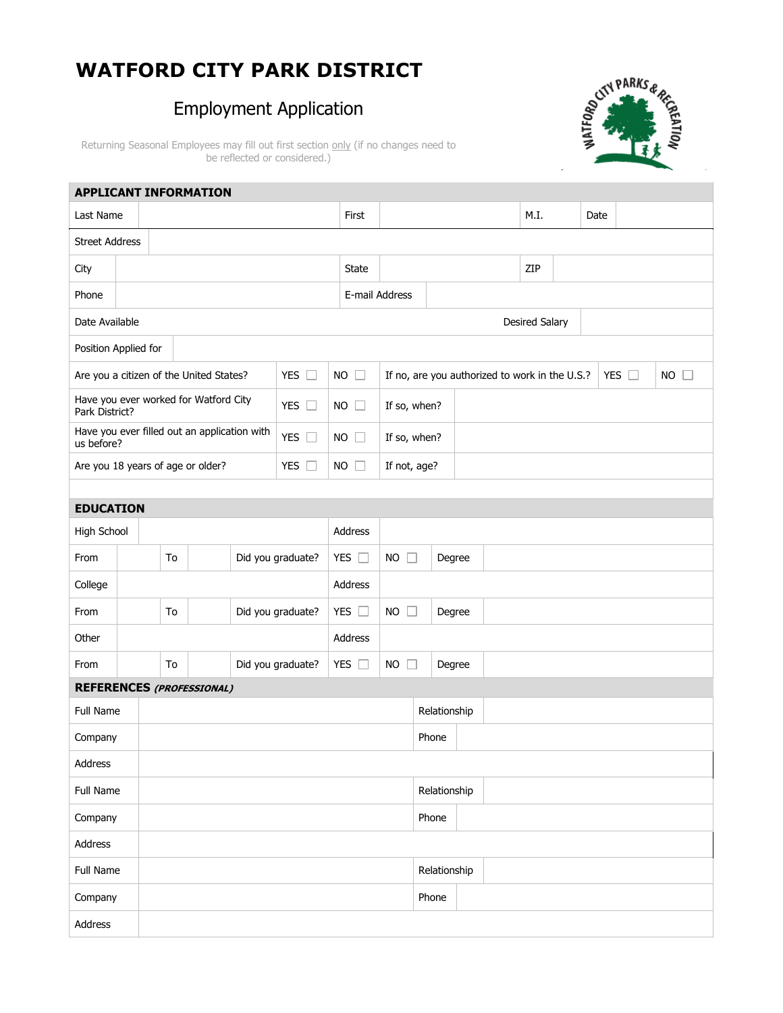# **WATFORD CITY PARK DISTRICT**

# Employment Application



Returning Seasonal Employees may fill out first section only (if no changes need to be reflected or considered.)

| <b>APPLICANT INFORMATION</b>                                                |    |  |    |                                    |  |                   |                     |               |                |                                                |              |              |                       |      |  |               |             |  |
|-----------------------------------------------------------------------------|----|--|----|------------------------------------|--|-------------------|---------------------|---------------|----------------|------------------------------------------------|--------------|--------------|-----------------------|------|--|---------------|-------------|--|
| Last Name                                                                   |    |  |    |                                    |  |                   | First               |               |                |                                                |              | M.I.         |                       | Date |  |               |             |  |
| <b>Street Address</b>                                                       |    |  |    |                                    |  |                   |                     |               |                |                                                |              |              |                       |      |  |               |             |  |
| City                                                                        |    |  |    |                                    |  |                   |                     | State         |                |                                                |              |              | ZIP                   |      |  |               |             |  |
| Phone                                                                       |    |  |    |                                    |  |                   |                     |               | E-mail Address |                                                |              |              |                       |      |  |               |             |  |
| Date Available                                                              |    |  |    |                                    |  |                   |                     |               |                |                                                |              |              | <b>Desired Salary</b> |      |  |               |             |  |
| Position Applied for                                                        |    |  |    |                                    |  |                   |                     |               |                |                                                |              |              |                       |      |  |               |             |  |
| YES $\square$<br>Are you a citizen of the United States?                    |    |  |    |                                    |  |                   |                     | $NO$ $\Box$   |                | If no, are you authorized to work in the U.S.? |              |              |                       |      |  | YES $\square$ | $NO$ $\Box$ |  |
| Have you ever worked for Watford City<br>YES $\square$<br>Park District?    |    |  |    |                                    |  |                   | $NO$ $\Box$         | If so, when?  |                |                                                |              |              |                       |      |  |               |             |  |
| Have you ever filled out an application with<br>YES $\square$<br>us before? |    |  |    |                                    |  |                   | $NO$ $\Box$         |               | If so, when?   |                                                |              |              |                       |      |  |               |             |  |
| Are you 18 years of age or older?<br>YES $\square$                          |    |  |    |                                    |  |                   | $NO$ $\Box$         | If not, age?  |                |                                                |              |              |                       |      |  |               |             |  |
|                                                                             |    |  |    |                                    |  |                   |                     |               |                |                                                |              |              |                       |      |  |               |             |  |
| <b>EDUCATION</b>                                                            |    |  |    |                                    |  |                   |                     |               |                |                                                |              |              |                       |      |  |               |             |  |
| High School                                                                 |    |  |    |                                    |  |                   | Address             |               |                |                                                |              |              |                       |      |  |               |             |  |
| From                                                                        |    |  | To |                                    |  | Did you graduate? |                     | YES $\square$ | $NO$ $\Box$    | Degree                                         |              |              |                       |      |  |               |             |  |
| College                                                                     |    |  |    |                                    |  |                   | Address             |               |                |                                                |              |              |                       |      |  |               |             |  |
| From                                                                        |    |  | To |                                    |  | Did you graduate? |                     | YES $\square$ | $NO$ $\Box$    |                                                | Degree       |              |                       |      |  |               |             |  |
| Other                                                                       |    |  |    |                                    |  |                   |                     | Address       |                |                                                |              |              |                       |      |  |               |             |  |
| From                                                                        | To |  |    | Did you graduate?<br>YES $\square$ |  |                   | <b>NO</b><br>Degree |               |                |                                                |              |              |                       |      |  |               |             |  |
| <b>REFERENCES (PROFESSIONAL)</b>                                            |    |  |    |                                    |  |                   |                     |               |                |                                                |              |              |                       |      |  |               |             |  |
| <b>Full Name</b>                                                            |    |  |    |                                    |  |                   |                     |               |                |                                                |              | Relationship |                       |      |  |               |             |  |
| Company                                                                     |    |  |    |                                    |  |                   |                     |               |                |                                                | Phone        |              |                       |      |  |               |             |  |
| Address                                                                     |    |  |    |                                    |  |                   |                     |               |                |                                                |              |              |                       |      |  |               |             |  |
| Full Name                                                                   |    |  |    |                                    |  |                   |                     |               |                | Relationship                                   |              |              |                       |      |  |               |             |  |
| Company                                                                     |    |  |    |                                    |  |                   |                     |               |                | Phone                                          |              |              |                       |      |  |               |             |  |
| Address                                                                     |    |  |    |                                    |  |                   |                     |               |                |                                                |              |              |                       |      |  |               |             |  |
| Full Name                                                                   |    |  |    |                                    |  |                   |                     |               |                |                                                | Relationship |              |                       |      |  |               |             |  |
| Company                                                                     |    |  |    |                                    |  |                   |                     |               |                |                                                | Phone        |              |                       |      |  |               |             |  |
| Address                                                                     |    |  |    |                                    |  |                   |                     |               |                |                                                |              |              |                       |      |  |               |             |  |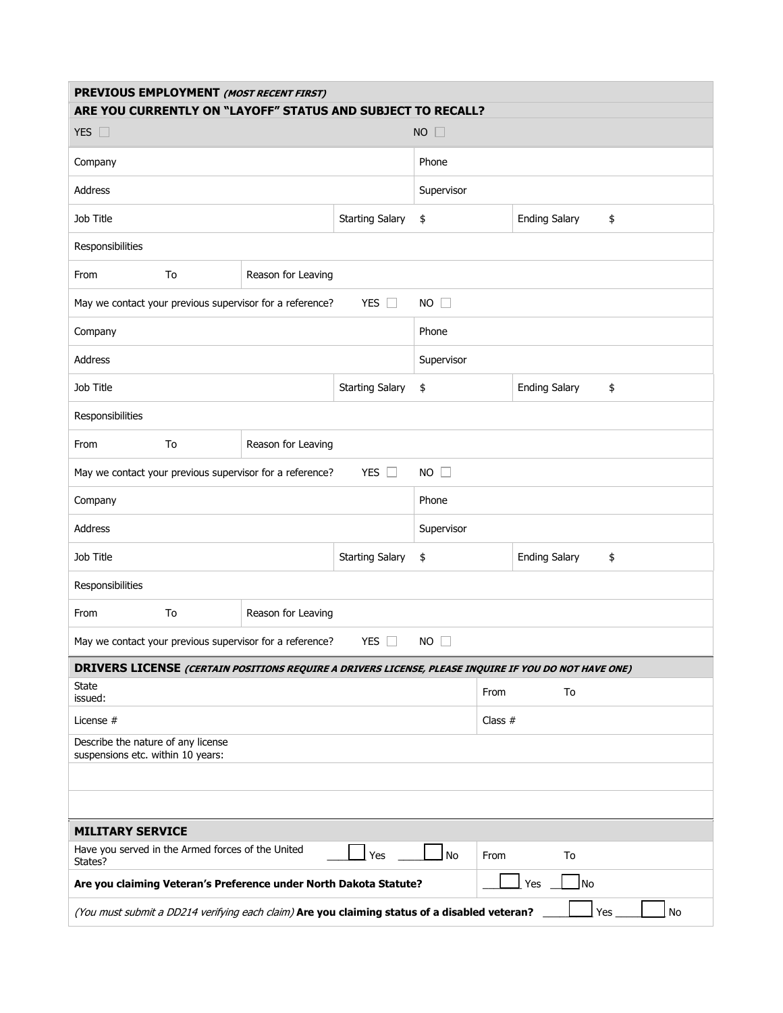| PREVIOUS EMPLOYMENT (MOST RECENT FIRST)<br>ARE YOU CURRENTLY ON "LAYOFF" STATUS AND SUBJECT TO RECALL?      |                                                                                |                                                          |                        |             |                      |                            |    |  |  |  |
|-------------------------------------------------------------------------------------------------------------|--------------------------------------------------------------------------------|----------------------------------------------------------|------------------------|-------------|----------------------|----------------------------|----|--|--|--|
| YES $\square$                                                                                               |                                                                                |                                                          | $NO$ $\Box$            |             |                      |                            |    |  |  |  |
| Company                                                                                                     |                                                                                |                                                          | Phone                  |             |                      |                            |    |  |  |  |
| Address                                                                                                     |                                                                                |                                                          | Supervisor             |             |                      |                            |    |  |  |  |
| Job Title                                                                                                   |                                                                                |                                                          | \$                     |             | <b>Ending Salary</b> | \$                         |    |  |  |  |
| Responsibilities                                                                                            |                                                                                |                                                          |                        |             |                      |                            |    |  |  |  |
| From                                                                                                        | To                                                                             | Reason for Leaving                                       |                        |             |                      |                            |    |  |  |  |
|                                                                                                             |                                                                                | May we contact your previous supervisor for a reference? | YES $\square$          | $NO$ $\Box$ |                      |                            |    |  |  |  |
| Company                                                                                                     |                                                                                |                                                          | Phone                  |             |                      |                            |    |  |  |  |
| Address                                                                                                     |                                                                                |                                                          | Supervisor             |             |                      |                            |    |  |  |  |
| Job Title                                                                                                   |                                                                                |                                                          | <b>Starting Salary</b> | \$          |                      | <b>Ending Salary</b>       | \$ |  |  |  |
| Responsibilities                                                                                            |                                                                                |                                                          |                        |             |                      |                            |    |  |  |  |
| From                                                                                                        | To                                                                             | Reason for Leaving                                       |                        |             |                      |                            |    |  |  |  |
|                                                                                                             |                                                                                | May we contact your previous supervisor for a reference? | $NO$ $\square$         |             |                      |                            |    |  |  |  |
| Company                                                                                                     |                                                                                |                                                          | Phone                  |             |                      |                            |    |  |  |  |
| Address                                                                                                     |                                                                                |                                                          | Supervisor             |             |                      |                            |    |  |  |  |
| Job Title                                                                                                   |                                                                                |                                                          | <b>Starting Salary</b> | \$          |                      | <b>Ending Salary</b><br>\$ |    |  |  |  |
| Responsibilities                                                                                            |                                                                                |                                                          |                        |             |                      |                            |    |  |  |  |
| From                                                                                                        | To                                                                             | Reason for Leaving                                       |                        |             |                      |                            |    |  |  |  |
| May we contact your previous supervisor for a reference?<br>YES $\Box$<br>NO<br>$\Box$                      |                                                                                |                                                          |                        |             |                      |                            |    |  |  |  |
| <b>DRIVERS LICENSE (CERTAIN POSITIONS REQUIRE A DRIVERS LICENSE, PLEASE INQUIRE IF YOU DO NOT HAVE ONE)</b> |                                                                                |                                                          |                        |             |                      |                            |    |  |  |  |
| State<br>issued:                                                                                            |                                                                                |                                                          |                        | From        | To                   |                            |    |  |  |  |
| License #                                                                                                   |                                                                                |                                                          |                        |             | Class $#$            |                            |    |  |  |  |
| Describe the nature of any license<br>suspensions etc. within 10 years:                                     |                                                                                |                                                          |                        |             |                      |                            |    |  |  |  |
|                                                                                                             |                                                                                |                                                          |                        |             |                      |                            |    |  |  |  |
|                                                                                                             |                                                                                |                                                          |                        |             |                      |                            |    |  |  |  |
| <b>MILITARY SERVICE</b>                                                                                     |                                                                                |                                                          |                        |             |                      |                            |    |  |  |  |
| Have you served in the Armed forces of the United<br>States?                                                |                                                                                |                                                          | No                     | From        | To                   |                            |    |  |  |  |
|                                                                                                             | No<br>Are you claiming Veteran's Preference under North Dakota Statute?<br>Yes |                                                          |                        |             |                      |                            |    |  |  |  |
| (You must submit a DD214 verifying each claim) Are you claiming status of a disabled veteran?<br>Yes<br>No  |                                                                                |                                                          |                        |             |                      |                            |    |  |  |  |